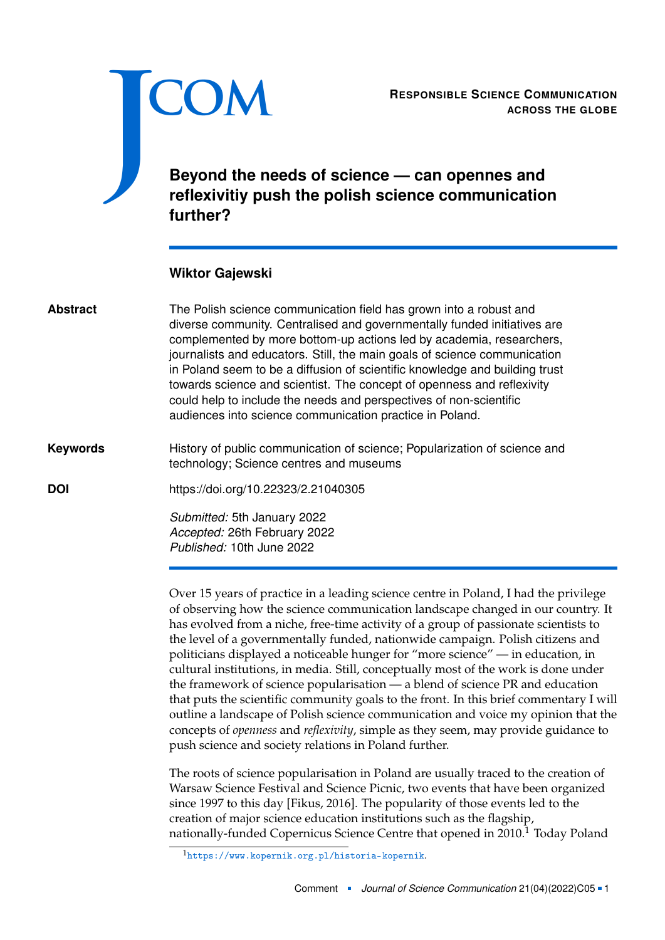<span id="page-0-0"></span>

**ACROSS THE GLOBE**

## **Beyond the needs of science — can opennes and reflexivitiy push the polish science communication further?**

## **Wiktor Gajewski**

| <b>Abstract</b> | The Polish science communication field has grown into a robust and<br>diverse community. Centralised and governmentally funded initiatives are<br>complemented by more bottom-up actions led by academia, researchers,<br>journalists and educators. Still, the main goals of science communication<br>in Poland seem to be a diffusion of scientific knowledge and building trust<br>towards science and scientist. The concept of openness and reflexivity<br>could help to include the needs and perspectives of non-scientific<br>audiences into science communication practice in Poland. |
|-----------------|------------------------------------------------------------------------------------------------------------------------------------------------------------------------------------------------------------------------------------------------------------------------------------------------------------------------------------------------------------------------------------------------------------------------------------------------------------------------------------------------------------------------------------------------------------------------------------------------|
| <b>Keywords</b> | History of public communication of science; Popularization of science and<br>technology; Science centres and museums                                                                                                                                                                                                                                                                                                                                                                                                                                                                           |
| <b>DOI</b>      | https://doi.org/10.22323/2.21040305                                                                                                                                                                                                                                                                                                                                                                                                                                                                                                                                                            |
|                 | Submitted: 5th January 2022<br>Apparted: 26th Eabruary 2022                                                                                                                                                                                                                                                                                                                                                                                                                                                                                                                                    |

*Accepted:* 26th February 2022 *Published:* 10th June 2022

Over 15 years of practice in a leading science centre in Poland, I had the privilege of observing how the science communication landscape changed in our country. It has evolved from a niche, free-time activity of a group of passionate scientists to the level of a governmentally funded, nationwide campaign. Polish citizens and politicians displayed a noticeable hunger for "more science" — in education, in cultural institutions, in media. Still, conceptually most of the work is done under the framework of science popularisation — a blend of science PR and education that puts the scientific community goals to the front. In this brief commentary I will outline a landscape of Polish science communication and voice my opinion that the concepts of *openness* and *reflexivity*, simple as they seem, may provide guidance to push science and society relations in Poland further.

The roots of science popularisation in Poland are usually traced to the creation of Warsaw Science Festival and Science Picnic, two events that have been organized since 1997 to this day [Fikus, [2016\]](#page-2-0). The popularity of those events led to the creation of major science education institutions such as the flagship, nationally-funded Copernicus Science Centre that opened in 2010.<sup>1</sup> Today Poland

<sup>1</sup><https://www.kopernik.org.pl/historia-kopernik>.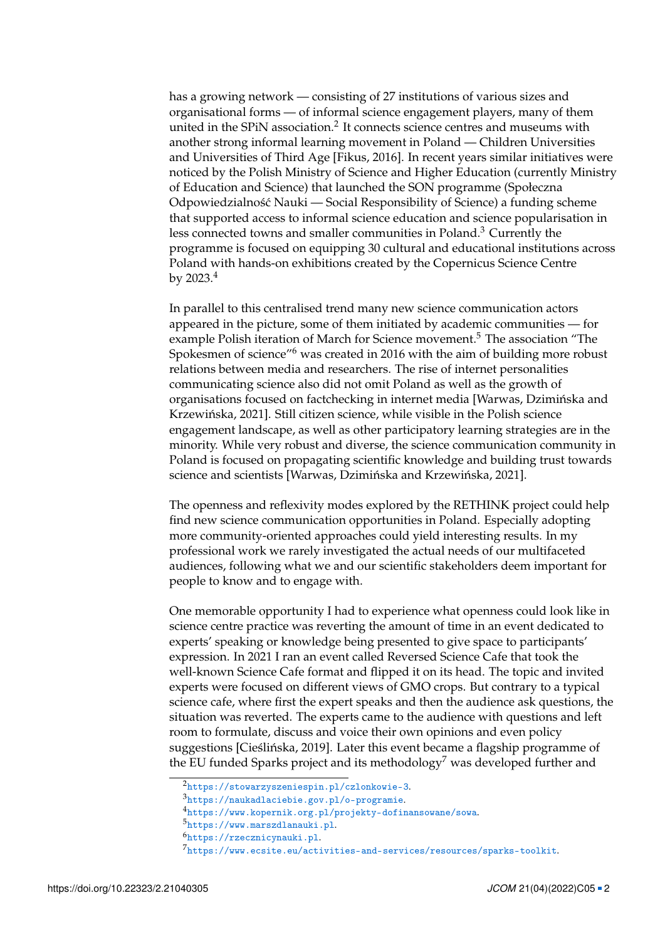has a growing network — consisting of 27 institutions of various sizes and organisational forms — of informal science engagement players, many of them united in the SPiN association.<sup>[2](#page-0-0)</sup> It connects science centres and museums with another strong informal learning movement in Poland — Children Universities and Universities of Third Age [Fikus, [2016\]](#page-2-0). In recent years similar initiatives were noticed by the Polish Ministry of Science and Higher Education (currently Ministry of Education and Science) that launched the SON programme (Społeczna Odpowiedzialność Nauki — Social Responsibility of Science) a funding scheme that supported access to informal science education and science popularisation in less connected towns and smaller communities in Poland.[3](#page-0-0) Currently the programme is focused on equipping 30 cultural and educational institutions across Poland with hands-on exhibitions created by the Copernicus Science Centre by  $2023.<sup>4</sup>$  $2023.<sup>4</sup>$  $2023.<sup>4</sup>$ 

In parallel to this centralised trend many new science communication actors appeared in the picture, some of them initiated by academic communities — for example Polish iteration of March for Science movement.<sup>[5](#page-0-0)</sup> The association "The Spokesmen of science"[6](#page-0-0) was created in 2016 with the aim of building more robust relations between media and researchers. The rise of internet personalities communicating science also did not omit Poland as well as the growth of organisations focused on factchecking in internet media [Warwas, Dzimińska and Krzewińska, [2021\]](#page-2-1). Still citizen science, while visible in the Polish science engagement landscape, as well as other participatory learning strategies are in the minority. While very robust and diverse, the science communication community in Poland is focused on propagating scientific knowledge and building trust towards science and scientists [Warwas, Dzimińska and Krzewińska, [2021\]](#page-2-1).

The openness and reflexivity modes explored by the RETHINK project could help find new science communication opportunities in Poland. Especially adopting more community-oriented approaches could yield interesting results. In my professional work we rarely investigated the actual needs of our multifaceted audiences, following what we and our scientific stakeholders deem important for people to know and to engage with.

One memorable opportunity I had to experience what openness could look like in science centre practice was reverting the amount of time in an event dedicated to experts' speaking or knowledge being presented to give space to participants' expression. In 2021 I ran an event called Reversed Science Cafe that took the well-known Science Cafe format and flipped it on its head. The topic and invited experts were focused on different views of GMO crops. But contrary to a typical science cafe, where first the expert speaks and then the audience ask questions, the situation was reverted. The experts came to the audience with questions and left room to formulate, discuss and voice their own opinions and even policy suggestions [Cieślińska, [2019\]](#page-2-2). Later this event became a flagship programme of the EU funded Sparks project and its methodology<sup>[7](#page-0-0)</sup> was developed further and

<sup>2</sup><https://stowarzyszeniespin.pl/czlonkowie-3>.

<sup>3</sup><https://naukadlaciebie.gov.pl/o-programie>.

<sup>4</sup><https://www.kopernik.org.pl/projekty-dofinansowane/sowa>.

<sup>5</sup><https://www.marszdlanauki.pl>.

<sup>6</sup><https://rzecznicynauki.pl>.

 $^{7}$ <https://www.ecsite.eu/activities-and-services/resources/sparks-toolkit>.